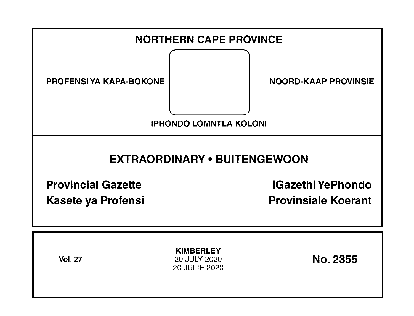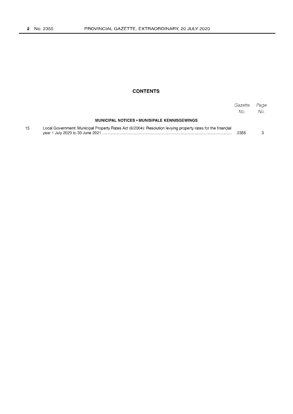## **CONTENTS**

|    |                                                                                                              | Gazette<br>No. | Page<br>No. |
|----|--------------------------------------------------------------------------------------------------------------|----------------|-------------|
|    | <b>MUNICIPAL NOTICES • MUNISIPALE KENNISGEWINGS</b>                                                          |                |             |
| 15 | Local Government: Municipal Property Rates Act (6/2004): Resolution levying property rates for the financial | 2355           |             |